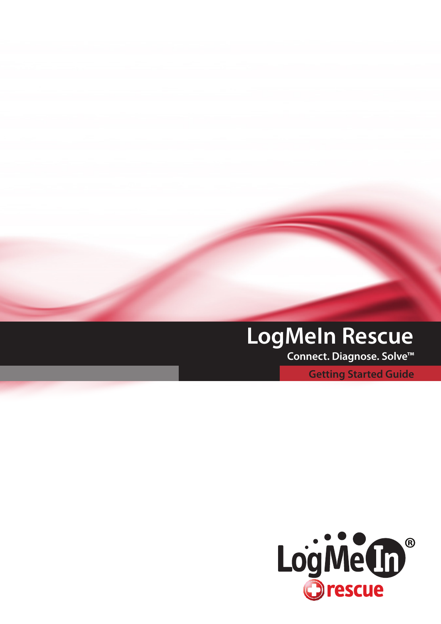# **LogMeIn Rescue**

 **Connect. Diagnose. Solve™**

**Getting Started Guide**

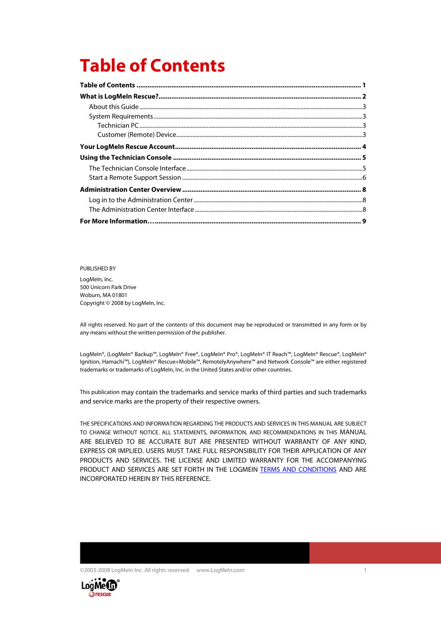# <span id="page-1-0"></span>**Table of Contents**

#### PUBLISHED BY

LogMeIn, Inc. 500 Unicorn Park Drive Woburn, MA 01801 Copyright © 2008 by LogMeIn, Inc.

All rights reserved. No part of the contents of this document may be reproduced or transmitted in any form or by any means without the written permission of the publisher.

LogMeIn®, (LogMeIn® Backup™, LogMeIn® Free®, LogMeIn® Pro®, LogMeIn® IT Reach™, LogMeIn® Rescue®, LogMeIn® Ignition, Hamachi™), LogMeIn® Rescue+Mobile™, RemotelyAnywhere™ and Network Console™ are either registered trademarks or trademarks of LogMeIn, Inc. in the United States and/or other countries.

This publication may contain the trademarks and service marks of third parties and such trademarks and service marks are the property of their respective owners.

THE SPECIFICATIONS AND INFORMATION REGARDING THE PRODUCTS AND SERVICES IN THIS MANUAL ARE SUBJECT TO CHANGE WITHOUT NOTICE. ALL STATEMENTS, INFORMATION, AND RECOMMENDATIONS IN THIS MANUAL ARE BELIEVED TO BE ACCURATE BUT ARE PRESENTED WITHOUT WARRANTY OF ANY KIND, EXPRESS OR IMPLIED. USERS MUST TAKE FULL RESPONSIBILITY FOR THEIR APPLICATION OF ANY PRODUCTS AND SERVICES. THE LICENSE AND LIMITED WARRANTY FOR THE ACCOMPANYING PRODUCT AND SERVICES ARE SET FORTH IN THE LOGMEIN [TERMS AND CONDITIONS](https://secure.logmein.com/termsandconditions.asp) AND ARE INCORPORATED HEREIN BY THIS REFERENCE.



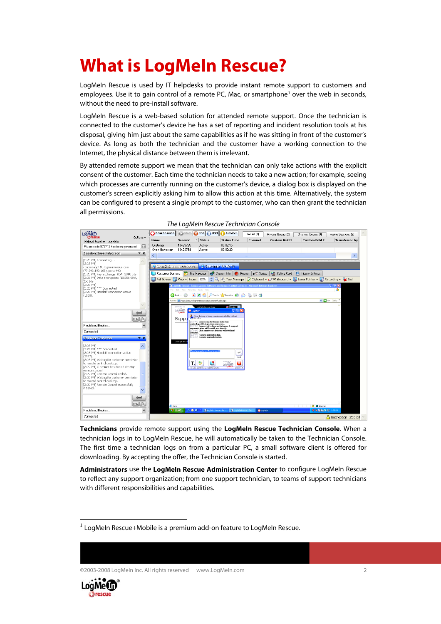# <span id="page-2-0"></span>**What is LogMeIn Rescue?**

LogMeIn Rescue is used by IT helpdesks to provide instant remote support to customers and employees. Use it to gain control of a remote PC, Mac, or smartphone<sup>[1](#page-2-1)</sup> over the web in seconds, without the need to pre-install software.

LogMeIn Rescue is a web-based solution for attended remote support. Once the technician is connected to the customer's device he has a set of reporting and incident resolution tools at his disposal, giving him just about the same capabilities as if he was sitting in front of the customer's device. As long as both the technician and the customer have a working connection to the Internet, the physical distance between them is irrelevant.

By attended remote support we mean that the technician can only take actions with the explicit consent of the customer. Each time the technician needs to take a new action; for example, seeing which processes are currently running on the customer's device, a dialog box is displayed on the customer's screen explicitly asking him to allow this action at this time. Alternatively, the system can be configured to present a single prompt to the customer, who can then grant the technician all permissions.



| The LogMeIn Rescue Technician Console |  |  |
|---------------------------------------|--|--|
|---------------------------------------|--|--|

**Technicians** provide remote support using the **LogMeIn Rescue Technician Console**. When a technician logs in to LogMeIn Rescue, he will automatically be taken to the Technician Console. The first time a technician logs on from a particular PC, a small software client is offered for downloading. By accepting the offer, the Technician Console is started.

**Administrators** use the **LogMeIn Rescue Administration Center** to configure LogMeIn Rescue to reflect any support organization; from one support technician, to teams of support technicians with different responsibilities and capabilities.





 $\overline{a}$ 

<span id="page-2-1"></span> $1$  LogMeIn Rescue+Mobile is a premium add-on feature to LogMeIn Rescue.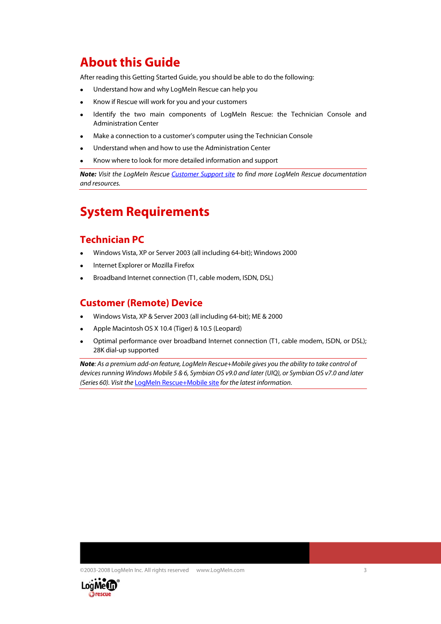#### <span id="page-3-0"></span>**About this Guide**

After reading this Getting Started Guide, you should be able to do the following:

- Understand how and why LogMeIn Rescue can help you
- Know if Rescue will work for you and your customers
- Identify the two main components of LogMeIn Rescue: the Technician Console and Administration Center
- Make a connection to a customer's computer using the Technician Console
- Understand when and how to use the Administration Center
- Know where to look for more detailed information and support

Note: Visit the LogMeIn Rescue [Customer Support site](https://secure.logmeinrescue.com/HelpDesk/Support.aspx) to find more LogMeIn Rescue documentation and resources.

#### **System Requirements**

#### **Technician PC**

- Windows Vista, XP or Server 2003 (all including 64-bit); Windows 2000
- Internet Explorer or Mozilla Firefox
- Broadband Internet connection (T1, cable modem, ISDN, DSL)

#### **Customer (Remote) Device**

- Windows Vista, XP & Server 2003 (all including 64-bit); ME & 2000
- Apple Macintosh OS X 10.4 (Tiger) & 10.5 (Leopard)
- Optimal performance over broadband Internet connection (T1, cable modem, ISDN, or DSL); 28K dial-up supported

**Note**: As a premium add-on feature, LogMeIn Rescue+Mobile gives you the ability to take control of devices running Windows Mobile 5 & 6, Symbian OS v9.0 and later (UIQ), or Symbian OS v7.0 and later (Series 60). Visit the [LogMeIn Rescue+Mobile site](https://secure.logmeinrescue.com/Mobile/Home.aspx) for the latest information.

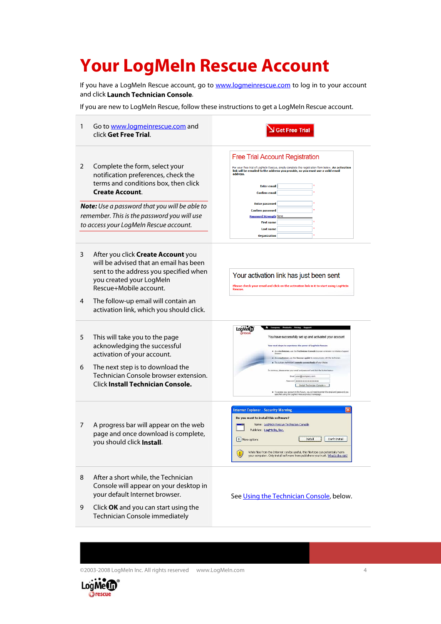# <span id="page-4-0"></span>**Your LogMeIn Rescue Account**

If you have a LogMeIn Rescue account, go to **[www.logmeinrescue.com](http://www.logmeinrescue.com/)** to log in to your account and click **Launch Technician Console**.

If you are new to LogMeIn Rescue, follow these instructions to get a LogMeIn Rescue account.

| 1      | Go to www.logmeinrescue.com and<br>click Get Free Trial.                                                                                                                                                                                                                                 | <b>Get Free Trial</b>                                                                                                                                                                                                                                                                                                                                                                                                                                                                                                                                                                                                                                                      |
|--------|------------------------------------------------------------------------------------------------------------------------------------------------------------------------------------------------------------------------------------------------------------------------------------------|----------------------------------------------------------------------------------------------------------------------------------------------------------------------------------------------------------------------------------------------------------------------------------------------------------------------------------------------------------------------------------------------------------------------------------------------------------------------------------------------------------------------------------------------------------------------------------------------------------------------------------------------------------------------------|
| 2      | Complete the form, select your<br>notification preferences, check the<br>terms and conditions box, then click<br><b>Create Account.</b><br><b>Note:</b> Use a password that you will be able to<br>remember. This is the password you will use<br>to access your LogMeln Rescue account. | <b>Free Trial Account Registration</b><br>For your free trial of LogMeIn Rescue, simply complete the registration form below. An activation<br>link will be emailed to the address you provide, so you must use a valid email<br>address.<br><b>Enter email</b><br><b>Confirm email</b><br><b>Enter password</b><br><b>Confirm password</b><br><b>Password Strength None</b><br><b>First name</b><br><b>Last name</b><br><b>Organization</b>                                                                                                                                                                                                                               |
| 3<br>4 | After you click <b>Create Account</b> you<br>will be advised that an email has been<br>sent to the address you specified when<br>you created your LogMeln<br>Rescue+Mobile account.<br>The follow-up email will contain an<br>activation link, which you should click.                   | Your activation link has just been sent<br>Please check your email and click on the activation link in it to start using LogMeIn<br><b>Rescue.</b>                                                                                                                                                                                                                                                                                                                                                                                                                                                                                                                         |
| 5<br>6 | This will take you to the page<br>acknowledging the successful<br>activation of your account.<br>The next step is to download the<br>Technician Console browser extension.<br>Click Install Technician Console.                                                                          | LogMe(In<br>You have successfully set up and activated your account<br>Your next steps to experience the power of LogHeln Rescue<br>As a technician, use the Technician Console browser extension to initiate a Support<br>ner, use the Rescue applet to communicate with the tech<br>As a custo<br>Try out any technician's remote access tools of your choice<br>To continue, please enter your small and password and click the button<br>Enal user@company.com<br>port   ********************<br>Install Technician Console »<br>To access your account in the future, you will need to enter the email and pi<br>specified using the LogMeDs Rescue product homepage. |
| 7      | A progress bar will appear on the web<br>page and once download is complete,<br>you should click Install.                                                                                                                                                                                | <b>Internet Explorer - Security Warning</b><br>Do you want to install this software?<br>Name: LogMeIn Rescue Technician Console<br>Publisher: LogMeIn, Inc.<br>Don't Install<br><b>V</b> More options<br>Install<br>While files from the Internet can be useful, this file type can potentially harm<br>your computer. Only install software from publishers you trust. What's the risk?                                                                                                                                                                                                                                                                                   |
| 8<br>9 | After a short while, the Technician<br>Console will appear on your desktop in<br>your default Internet browser.<br>Click OK and you can start using the<br>Technician Console immediately                                                                                                | See Using the Technician Console, below.                                                                                                                                                                                                                                                                                                                                                                                                                                                                                                                                                                                                                                   |

©2003-2008 LogMeIn Inc. All rights reserved www.LogMeIn.com 4

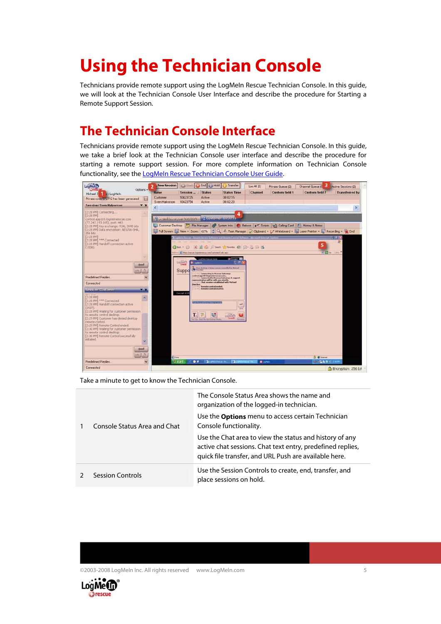# <span id="page-5-0"></span>**Using the Technician Console**

Technicians provide remote support using the LogMeIn Rescue Technician Console. In this guide, we will look at the Technician Console User Interface and describe the procedure for Starting a Remote Support Session.

### **The Technician Console Interface**

Technicians provide remote support using the LogMeIn Rescue Technician Console. In this guide, we take a brief look at the Technician Console user interface and describe the procedure for starting a remote support session. For more complete information on Technician Console functionality, see the [LogMeIn Rescue Technician Console User Guide.](https://secure.logmeinrescue.com/Common/Pdfs/rescue_tech_console_userguide.pdf)



Take a minute to get to know the Technician Console.

| Console Status Area and Chat | The Console Status Area shows the name and<br>organization of the logged-in technician.<br>Use the <b>Options</b> menu to access certain Technician<br>Console functionality.  |
|------------------------------|--------------------------------------------------------------------------------------------------------------------------------------------------------------------------------|
|                              | Use the Chat area to view the status and history of any<br>active chat sessions. Chat text entry, predefined replies,<br>quick file transfer, and URL Push are available here. |
| Session Controls             | Use the Session Controls to create, end, transfer, and<br>place sessions on hold.                                                                                              |



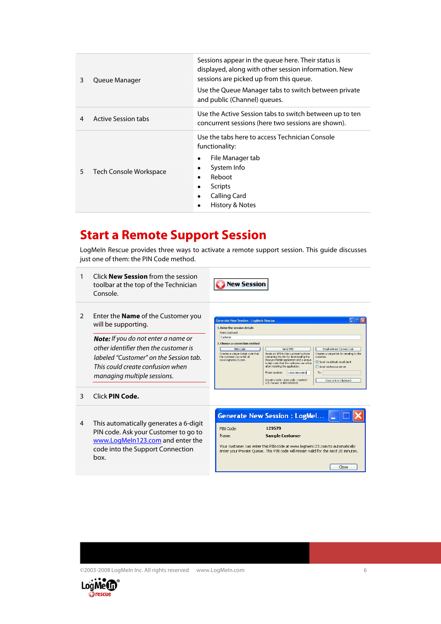<span id="page-6-0"></span>

| 3 | Queue Manager              | Sessions appear in the queue here. Their status is<br>displayed, along with other session information. New<br>sessions are picked up from this queue.<br>Use the Queue Manager tabs to switch between private<br>and public (Channel) queues. |
|---|----------------------------|-----------------------------------------------------------------------------------------------------------------------------------------------------------------------------------------------------------------------------------------------|
| 4 | <b>Active Session tabs</b> | Use the Active Session tabs to switch between up to ten<br>concurrent sessions (here two sessions are shown).                                                                                                                                 |
| 5 | Tech Console Workspace     | Use the tabs here to access Technician Console<br>functionality:<br>File Manager tab<br>System Info<br>٠<br>Reboot<br>Scripts<br>Calling Card<br>History & Notes                                                                              |

#### **Start a Remote Support Session**

LogMeIn Rescue provides three ways to activate a remote support session. This guide discusses just one of them: the PIN Code method.

1 Click **New Session** from the session toolbar at the top of the Technician Console.

New Session

2 Enter the **Name** of the Customer you will be supporting.

> **Note:** If you do not enter a name or other identifier then the customer is labeled "Customer" on the Session tab. This could create confusion when managing multiple sessions.

| 1. Enter the session details<br>Name (optional)                                        |                                                                                                                                                                                                            |                                                                                                                       |
|----------------------------------------------------------------------------------------|------------------------------------------------------------------------------------------------------------------------------------------------------------------------------------------------------------|-----------------------------------------------------------------------------------------------------------------------|
| <b>Customer</b>                                                                        |                                                                                                                                                                                                            |                                                                                                                       |
| 2. Choose a connection method<br>PIN Code                                              | Send SMS                                                                                                                                                                                                   | Email a Direct Connect Link                                                                                           |
| Creates a unique 6-digit code that<br>the customer can enter at<br>www.logmein123.com. | Sends an SMS to the customer's phone<br>containing the link for downloading the<br>Rescue+Mobile application and a unique<br>6-digit code that the customer can enter<br>after installing the application. | Creates a unique link for emailing to the<br>customer.<br>(.) Send via default email client<br>Send via Rescue server |
|                                                                                        | Phone number:<br>1-800-000-0000                                                                                                                                                                            | To:                                                                                                                   |

- 3 Click **PIN Code.**
- 4 This automatically generates a 6-digit PIN code. Ask your Customer to go to [www.LogMeIn123.com](http://www.logmein123.com/) and enter the code into the Support Connection box.

|                                                                                                                                                                    | <b>Generate New Session: LogMel</b> |
|--------------------------------------------------------------------------------------------------------------------------------------------------------------------|-------------------------------------|
| PIN Code:                                                                                                                                                          | 129579                              |
| Name:                                                                                                                                                              | <b>Sample Customer</b>              |
| Your customer can enter this PIN code at www.logmein123.com to automatically<br>enter your Private Queue. This PIN code will remain valid for the next 20 minutes. |                                     |
|                                                                                                                                                                    | Close                               |

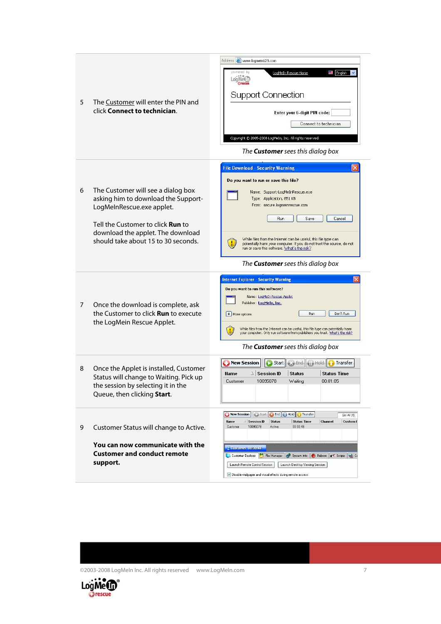| 5 | The Customer will enter the PIN and<br>click Connect to technician.                                                                                                                                                            | Address <b>&amp;</b> www.logmein123.com<br>powered by<br>W<br>English<br>LogMeIn Rescue Home<br>LoaMet <sub>u</sub><br><b>Support Connection</b><br>Enter your 6-digit PIN code:<br>Connect to technician<br>Copyright @ 2005-2008 LogMeIn, Inc. All rights reserved.<br>The <b>Customer</b> sees this dialog box                                                                                                                                                  |
|---|--------------------------------------------------------------------------------------------------------------------------------------------------------------------------------------------------------------------------------|--------------------------------------------------------------------------------------------------------------------------------------------------------------------------------------------------------------------------------------------------------------------------------------------------------------------------------------------------------------------------------------------------------------------------------------------------------------------|
| 6 | The Customer will see a dialog box<br>asking him to download the Support-<br>LogMeInRescue.exe applet.<br>Tell the Customer to click <b>Run</b> to<br>download the applet. The download<br>should take about 15 to 30 seconds. | <b>File Download - Security Warning</b><br>Do you want to run or save this file?<br>Name: Support-LogMeInRescue.exe<br>Type: Application, 851 KB<br>From: secure.logmeinrescue.com<br>Run<br>Save<br>Cancel<br>While files from the Internet can be useful, this file type can<br>potentially harm your computer. If you do not trust the source, do not<br>run or save this software. What's the risk?<br>The <b>Customer</b> sees this dialog box                |
| 7 | Once the download is complete, ask<br>the Customer to click <b>Run</b> to execute<br>the LogMein Rescue Applet.                                                                                                                | <b>Internet Explorer - Security Warning</b><br>Do you want to run this software?<br>Name: LogMeIn Rescue Applet<br>Publisher: LogMeIn, Inc.<br>V   More options<br>Run<br>Don't Run<br>While files from the Internet can be useful, this file type can potentially harm<br>your computer. Only run software from publishers you trust. What's the risk?<br>The <b>Customer</b> sees this dialog box                                                                |
| 8 | Once the Applet is installed, Customer<br>Status will change to Waiting. Pick up<br>the session by selecting it in the<br>Queue, then clicking Start.                                                                          | Start<br><b>C3</b> End   Hold<br><b>New Session</b><br>Transfer<br>$\Delta$ Session ID<br><b>Status Time</b><br><b>Name</b><br><b>Status</b><br>10095078<br>00:01:05<br>Customer<br>Waiting                                                                                                                                                                                                                                                                        |
| 9 | Customer Status will change to Active.<br>You can now communicate with the<br><b>Customer and conduct remote</b><br>support.                                                                                                   | <b>De End</b><br><b>ID</b> Hold<br>Transfer<br>New Session<br>Start<br>List All (1)<br>$\Delta$ Session ID<br>Status<br><b>Status Time</b><br>Channel<br>Custom fi<br>Name<br>Customer<br>10095078<br>Active<br>00:00:48<br>Customer URU043<br>File Manager<br>Customer Desktop<br>System Info<br>Reboot<br><b>OT</b> Scripts 4 Ca<br>Launch Remote Control Session<br>Launch Desktop Viewing Session<br>Disable wallpaper and visual effects during remote access |

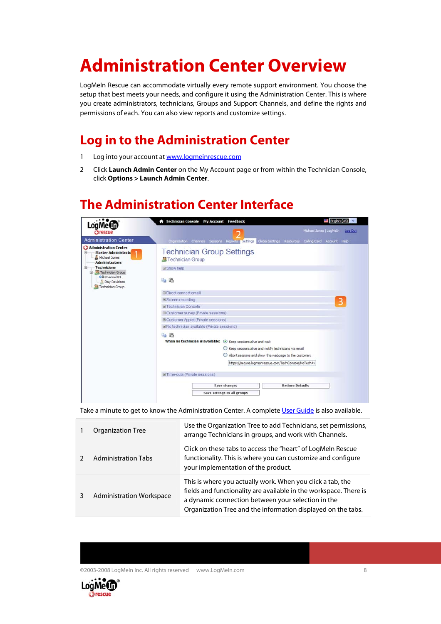# <span id="page-8-0"></span>**Administration Center Overview**

LogMeIn Rescue can accommodate virtually every remote support environment. You choose the setup that best meets your needs, and configure it using the Administration Center. This is where you create administrators, technicians, Groups and Support Channels, and define the rights and permissions of each. You can also view reports and customize settings.

### **Log in to the Administration Center**

- 1 Log into your account at [www.logmeinrescue.com](http://www.logmeinrescue.com/)
- 2 Click **Launch Admin Center** on the My Account page or from within the Technician Console, click **Options > Launch Admin Center**.

### **The Administration Center Interface**

|                                                                                             | $\blacksquare$ English (US) $\vee$<br><b>A</b> Technician Console My Account Feedback                                                                                                                                                                |
|---------------------------------------------------------------------------------------------|------------------------------------------------------------------------------------------------------------------------------------------------------------------------------------------------------------------------------------------------------|
| LoaMe<br><b>Correscue</b>                                                                   | Michael Jones   LogMeIn   Log.Cut                                                                                                                                                                                                                    |
| <b>Administration Center</b>                                                                | Organization Channels Sessions Reports Settings Global Settings Resources Calling Card Account Help                                                                                                                                                  |
| Administration Center<br>Master Administrato<br>Θ<br>Michael Jones<br><b>Administrators</b> | <b>Technician Group Settings</b><br>Technician Group                                                                                                                                                                                                 |
| <b>Technicians</b><br>Ξ<br>Technician Group<br>Ξ                                            | E Show help                                                                                                                                                                                                                                          |
| CO Channel 01<br>Ray Davidson<br>Technician Group                                           | <b>40 B</b>                                                                                                                                                                                                                                          |
|                                                                                             | <b>E Direct connect email</b>                                                                                                                                                                                                                        |
|                                                                                             | <b>El Screen recording</b><br>3                                                                                                                                                                                                                      |
|                                                                                             | El Technician Console                                                                                                                                                                                                                                |
|                                                                                             | El Customer survey (Private sessions)                                                                                                                                                                                                                |
|                                                                                             | El Customer Applet (Private sessions)                                                                                                                                                                                                                |
|                                                                                             | El No technician available (Private sessions)                                                                                                                                                                                                        |
|                                                                                             | 43 国<br>When no technician is available:<br>Keep sessions alive and wait<br>○ Keep sessions alive and notify technicians via email<br>Abort sessions and show this webpage to the customer:<br>https://secure.logmeinrescue.com/TechConsole/NoTechAv |
|                                                                                             | @ Time-outs (Private sessions)                                                                                                                                                                                                                       |
|                                                                                             | Save changes<br><b>Restore Defaults</b>                                                                                                                                                                                                              |
|                                                                                             | Save settings to all groups                                                                                                                                                                                                                          |

Take a minute to get to know the Administration Center. A complete [User Guide](https://secure.logmeinrescue.com/Common/Pdfs/rescue_admin_center_userguide.pdf) is also available.

| Organization Tree               | Use the Organization Tree to add Technicians, set permissions,<br>arrange Technicians in groups, and work with Channels.                                                                                                                              |
|---------------------------------|-------------------------------------------------------------------------------------------------------------------------------------------------------------------------------------------------------------------------------------------------------|
| <b>Administration Tabs</b>      | Click on these tabs to access the "heart" of LogMeln Rescue<br>functionality. This is where you can customize and configure<br>your implementation of the product.                                                                                    |
| <b>Administration Workspace</b> | This is where you actually work. When you click a tab, the<br>fields and functionality are available in the workspace. There is<br>a dynamic connection between your selection in the<br>Organization Tree and the information displayed on the tabs. |